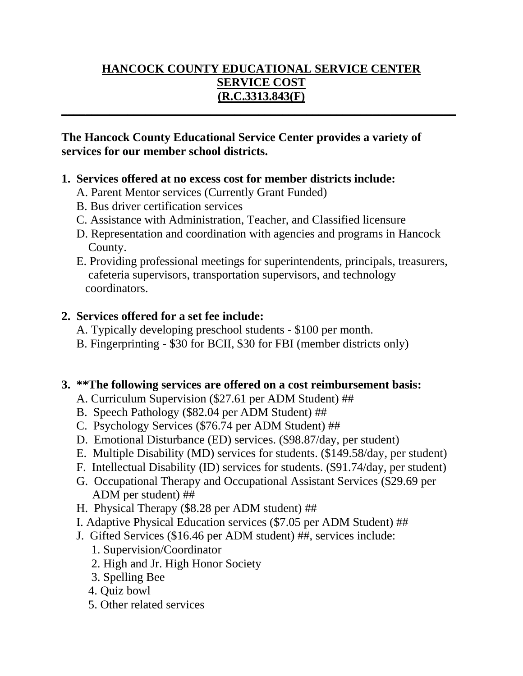# **HANCOCK COUNTY EDUCATIONAL SERVICE CENTER SERVICE COST (R.C.3313.843(F)**

**\_\_\_\_\_\_\_\_\_\_\_\_\_\_\_\_\_\_\_\_\_\_\_\_\_\_\_\_\_\_\_\_\_\_\_\_\_\_\_\_\_\_\_\_\_\_\_\_\_\_\_\_\_\_\_\_\_\_\_\_\_\_\_\_\_\_**

#### **The Hancock County Educational Service Center provides a variety of services for our member school districts.**

#### **1. Services offered at no excess cost for member districts include:**

- A. Parent Mentor services (Currently Grant Funded)
- B. Bus driver certification services
- C. Assistance with Administration, Teacher, and Classified licensure
- D. Representation and coordination with agencies and programs in Hancock County.
- E. Providing professional meetings for superintendents, principals, treasurers, cafeteria supervisors, transportation supervisors, and technology coordinators.

## **2. Services offered for a set fee include:**

- A. Typically developing preschool students \$100 per month.
- B. Fingerprinting \$30 for BCII, \$30 for FBI (member districts only)

#### **3. \*\*The following services are offered on a cost reimbursement basis:**

- A. Curriculum Supervision (\$27.61 per ADM Student) ##
- B. Speech Pathology (\$82.04 per ADM Student) ##
- C. Psychology Services (\$76.74 per ADM Student) ##
- D. Emotional Disturbance (ED) services. (\$98.87/day, per student)
- E. Multiple Disability (MD) services for students. (\$149.58/day, per student)
- F. Intellectual Disability (ID) services for students. (\$91.74/day, per student)
- G. Occupational Therapy and Occupational Assistant Services (\$29.69 per ADM per student) ##
- H. Physical Therapy (\$8.28 per ADM student) ##
- I. Adaptive Physical Education services (\$7.05 per ADM Student) ##
- J. Gifted Services (\$16.46 per ADM student) ##, services include:
	- 1. Supervision/Coordinator
	- 2. High and Jr. High Honor Society
	- 3. Spelling Bee
	- 4. Quiz bowl
	- 5. Other related services